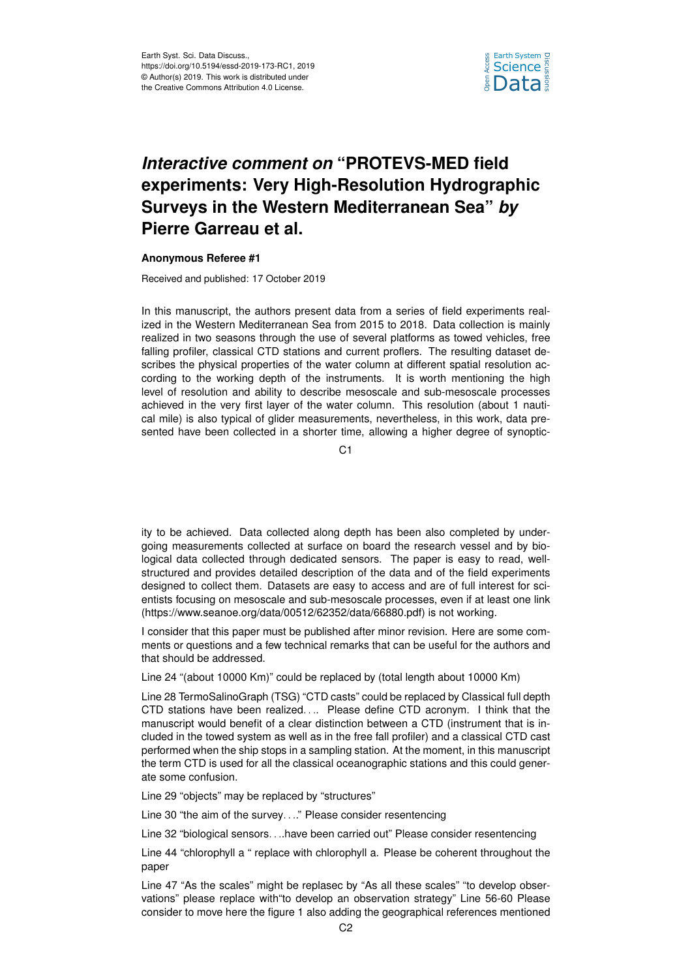

## *Interactive comment on* **"PROTEVS-MED field experiments: Very High-Resolution Hydrographic Surveys in the Western Mediterranean Sea"** *by* **Pierre Garreau et al.**

## **Anonymous Referee #1**

Received and published: 17 October 2019

In this manuscript, the authors present data from a series of field experiments realized in the Western Mediterranean Sea from 2015 to 2018. Data collection is mainly realized in two seasons through the use of several platforms as towed vehicles, free falling profiler, classical CTD stations and current proflers. The resulting dataset describes the physical properties of the water column at different spatial resolution according to the working depth of the instruments. It is worth mentioning the high level of resolution and ability to describe mesoscale and sub-mesoscale processes achieved in the very first layer of the water column. This resolution (about 1 nautical mile) is also typical of glider measurements, nevertheless, in this work, data presented have been collected in a shorter time, allowing a higher degree of synoptic-

C1

ity to be achieved. Data collected along depth has been also completed by undergoing measurements collected at surface on board the research vessel and by biological data collected through dedicated sensors. The paper is easy to read, wellstructured and provides detailed description of the data and of the field experiments designed to collect them. Datasets are easy to access and are of full interest for scientists focusing on mesoscale and sub-mesoscale processes, even if at least one link (https://www.seanoe.org/data/00512/62352/data/66880.pdf) is not working.

I consider that this paper must be published after minor revision. Here are some comments or questions and a few technical remarks that can be useful for the authors and that should be addressed.

Line 24 "(about 10000 Km)" could be replaced by (total length about 10000 Km)

Line 28 TermoSalinoGraph (TSG) "CTD casts" could be replaced by Classical full depth CTD stations have been realized. . .. Please define CTD acronym. I think that the manuscript would benefit of a clear distinction between a CTD (instrument that is included in the towed system as well as in the free fall profiler) and a classical CTD cast performed when the ship stops in a sampling station. At the moment, in this manuscript the term CTD is used for all the classical oceanographic stations and this could generate some confusion.

Line 29 "objects" may be replaced by "structures"

Line 30 "the aim of the survey. . .." Please consider resentencing

Line 32 "biological sensors. . ..have been carried out" Please consider resentencing

Line 44 "chlorophyll a " replace with chlorophyll a. Please be coherent throughout the paper

Line 47 "As the scales" might be replasec by "As all these scales" "to develop observations" please replace with"to develop an observation strategy" Line 56-60 Please consider to move here the figure 1 also adding the geographical references mentioned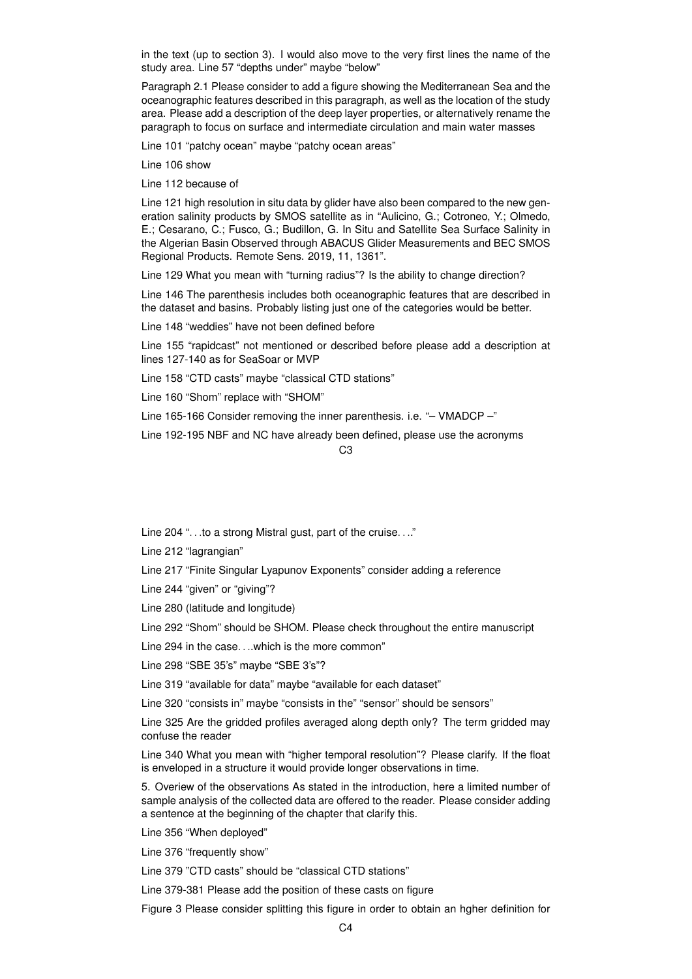in the text (up to section 3). I would also move to the very first lines the name of the study area. Line 57 "depths under" maybe "below"

Paragraph 2.1 Please consider to add a figure showing the Mediterranean Sea and the oceanographic features described in this paragraph, as well as the location of the study area. Please add a description of the deep layer properties, or alternatively rename the paragraph to focus on surface and intermediate circulation and main water masses

Line 101 "patchy ocean" maybe "patchy ocean areas"

Line 106 show

Line 112 because of

Line 121 high resolution in situ data by glider have also been compared to the new generation salinity products by SMOS satellite as in "Aulicino, G.; Cotroneo, Y.; Olmedo, E.; Cesarano, C.; Fusco, G.; Budillon, G. In Situ and Satellite Sea Surface Salinity in the Algerian Basin Observed through ABACUS Glider Measurements and BEC SMOS Regional Products. Remote Sens. 2019, 11, 1361".

Line 129 What you mean with "turning radius"? Is the ability to change direction?

Line 146 The parenthesis includes both oceanographic features that are described in the dataset and basins. Probably listing just one of the categories would be better.

Line 148 "weddies" have not been defined before

Line 155 "rapidcast" not mentioned or described before please add a description at lines 127-140 as for SeaSoar or MVP

Line 158 "CTD casts" maybe "classical CTD stations"

Line 160 "Shom" replace with "SHOM"

Line 165-166 Consider removing the inner parenthesis. i.e. "– VMADCP –"

Line 192-195 NBF and NC have already been defined, please use the acronyms

C3

Line 204 ". . .to a strong Mistral gust, part of the cruise. . .."

Line 212 "lagrangian"

Line 217 "Finite Singular Lyapunov Exponents" consider adding a reference

Line 244 "given" or "giving"?

Line 280 (latitude and longitude)

Line 292 "Shom" should be SHOM. Please check throughout the entire manuscript

Line 294 in the case. . ..which is the more common"

Line 298 "SBE 35's" maybe "SBE 3's"?

Line 319 "available for data" maybe "available for each dataset"

Line 320 "consists in" maybe "consists in the" "sensor" should be sensors"

Line 325 Are the gridded profiles averaged along depth only? The term gridded may confuse the reader

Line 340 What you mean with "higher temporal resolution"? Please clarify. If the float is enveloped in a structure it would provide longer observations in time.

5. Overiew of the observations As stated in the introduction, here a limited number of sample analysis of the collected data are offered to the reader. Please consider adding a sentence at the beginning of the chapter that clarify this.

Line 356 "When deployed"

Line 376 "frequently show"

Line 379 "CTD casts" should be "classical CTD stations"

Line 379-381 Please add the position of these casts on figure

Figure 3 Please consider splitting this figure in order to obtain an hgher definition for